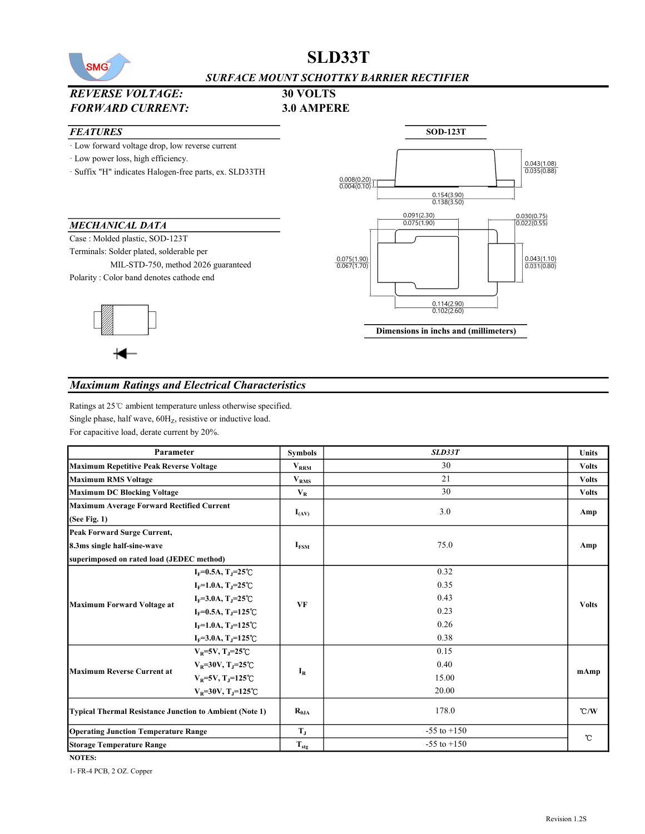

# SLD33T

#### SURFACE MOUNT SCHOTTKY BARRIER RECTIFIER

# REVERSE VOLTAGE: 30 VOLTS



#### Maximum Ratings and Electrical Characteristics

Ratings at 25℃ ambient temperature unless otherwise specified. Single phase, half wave,  $60H<sub>Z</sub>$ , resistive or inductive load. For capacitive load, derate current by 20%.

| Parameter                                                      |                                     | <b>Symbols</b>              | SLD33T          | <b>Units</b> |  |
|----------------------------------------------------------------|-------------------------------------|-----------------------------|-----------------|--------------|--|
| <b>Maximum Repetitive Peak Reverse Voltage</b>                 |                                     | $\mathbf{V}_{\mathbf{RRM}}$ | 30              | <b>Volts</b> |  |
| <b>Maximum RMS Voltage</b>                                     |                                     | $V_{RMS}$                   | 21              | <b>Volts</b> |  |
| <b>Maximum DC Blocking Voltage</b>                             |                                     | $V_{R}$                     | 30              | <b>Volts</b> |  |
| <b>Maximum Average Forward Rectified Current</b>               |                                     |                             | 3.0             |              |  |
| (See Fig. 1)                                                   |                                     | $I_{(AV)}$                  |                 | Amp          |  |
| <b>Peak Forward Surge Current,</b>                             |                                     |                             |                 |              |  |
| 8.3ms single half-sine-wave                                    |                                     | I <sub>FSM</sub>            | 75.0            | Amp          |  |
| superimposed on rated load (JEDEC method)                      |                                     |                             |                 |              |  |
|                                                                | $I_F = 0.5A$ , $T_J = 25^{\circ}C$  |                             | 0.32            |              |  |
|                                                                | $I_F = 1.0A$ , $T_J = 25^{\circ}C$  |                             | 0.35            |              |  |
|                                                                | $I_F = 3.0A$ , $T_J = 25^{\circ}C$  |                             | 0.43            |              |  |
| <b>Maximum Forward Voltage at</b>                              | $I_F = 0.5A, T_J = 125^{\circ}C$    | <b>VF</b>                   | 0.23            | <b>Volts</b> |  |
|                                                                | $I_F = 1.0A$ , $T_J = 125^{\circ}C$ |                             | 0.26            |              |  |
|                                                                | $I_F = 3.0A$ , $T_J = 125^{\circ}C$ |                             | 0.38            |              |  |
| <b>Maximum Reverse Current at</b>                              | $V_R = 5V$ , T <sub>J</sub> =25°C   | $I_R$                       | 0.15            |              |  |
|                                                                | $V_R = 30V$ , T <sub>J</sub> =25°C  |                             | 0.40            |              |  |
|                                                                | $V_R = 5V$ , T <sub>J</sub> =125°C  |                             | 15.00           | mAmp         |  |
|                                                                | $V_R$ =30V, T <sub>J</sub> =125℃    |                             | 20.00           |              |  |
| <b>Typical Thermal Resistance Junction to Ambient (Note 1)</b> |                                     | $R_{0,IA}$                  | 178.0           | C/W          |  |
| <b>Operating Junction Temperature Range</b>                    |                                     | $T_{J}$                     | $-55$ to $+150$ | °C           |  |
| <b>Storage Temperature Range</b>                               |                                     | $T_{\text{stg}}$            | $-55$ to $+150$ |              |  |

NOTES:

1- FR-4 PCB, 2 OZ. Copper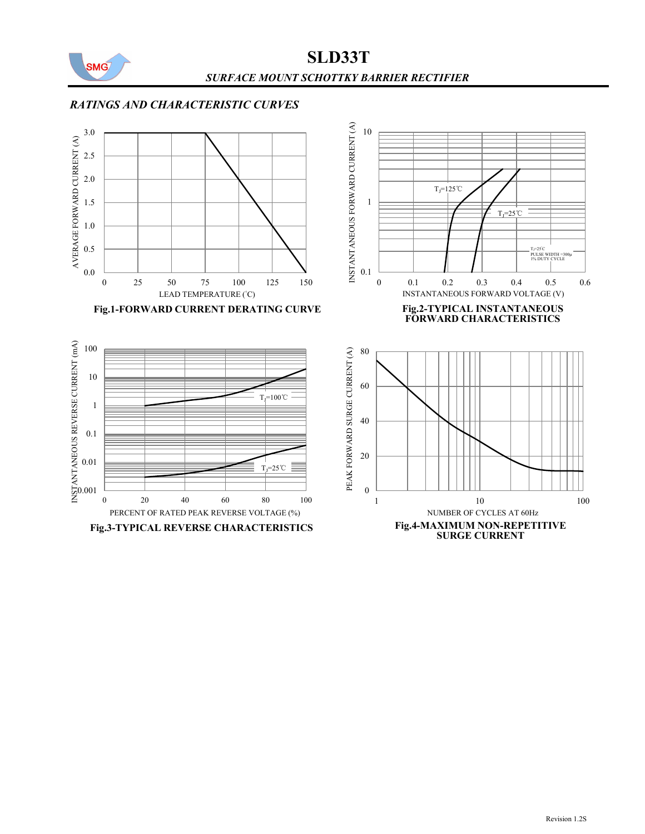

SLD33T SURFACE MOUNT SCHOTTKY BARRIER RECTIFIER

## RATINGS AND CHARACTERISTIC CURVES







 $T_J=125$ °C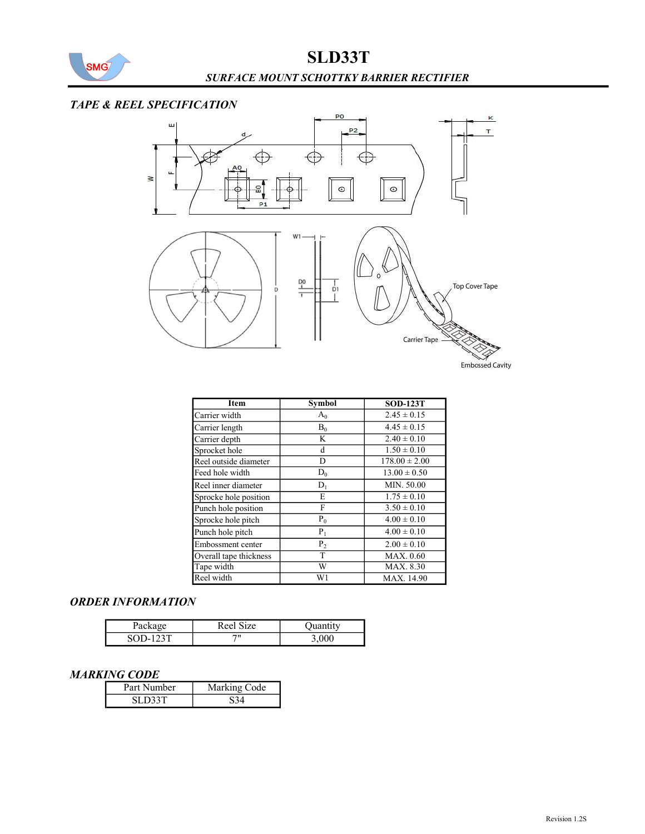

## TAPE & REEL SPECIFICATION



| Item                   | <b>Symbol</b>  | <b>SOD-123T</b>   |
|------------------------|----------------|-------------------|
| Carrier width          | $A_0$          | $2.45 \pm 0.15$   |
| Carrier length         | $\mathbf{B}_0$ | $4.45 \pm 0.15$   |
| Carrier depth          | K              | $2.40 \pm 0.10$   |
| Sprocket hole          | d              | $1.50 \pm 0.10$   |
| Reel outside diameter  | D              | $178.00 \pm 2.00$ |
| Feed hole width        | $D_0$          | $13.00 \pm 0.50$  |
| Reel inner diameter    | $D_1$          | MIN. 50.00        |
| Sprocke hole position  | E              | $1.75 \pm 0.10$   |
| Punch hole position    | F              | $3.50 \pm 0.10$   |
| Sprocke hole pitch     | $P_0$          | $4.00 \pm 0.10$   |
| Punch hole pitch       | $P_1$          | $4.00 \pm 0.10$   |
| Embossment center      | P <sub>2</sub> | $2.00 \pm 0.10$   |
| Overall tape thickness | T              | <b>MAX.</b> 0.60  |
| Tape width             | W<br>MAX. 8.30 |                   |
| Reel width             | W1             | MAX. 14.90        |

#### ORDER INFORMATION

| Package | Reel Size |  |
|---------|-----------|--|
| $SOD-$  | 711       |  |

#### MARKING CODE

| Part Number | Marking Code |  |
|-------------|--------------|--|
| SI D33T     |              |  |